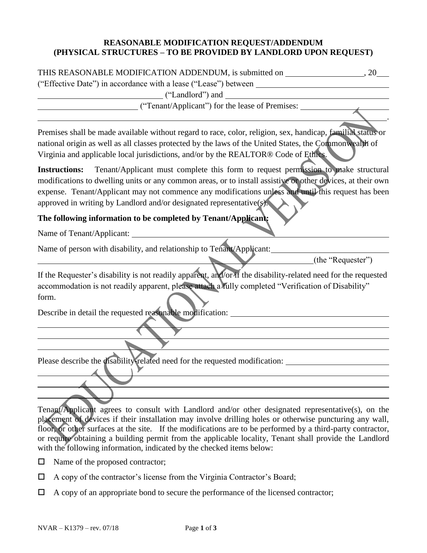#### **REASONABLE MODIFICATION REQUEST/ADDENDUM (PHYSICAL STRUCTURES – TO BE PROVIDED BY LANDLORD UPON REQUEST)**

| THIS REASONABLE MODIFICATION ADDENDUM, is submitted on |  |  |
|--------------------------------------------------------|--|--|
|                                                        |  |  |

("Effective Date") in accordance with a lease ("Lease") between

.

("Landlord") and

("Tenant/Applicant") for the lease of Premises:

Premises shall be made available without regard to race, color, religion, sex, handicap, familial status or national origin as well as all classes protected by the laws of the United States, the Commonwealth of Virginia and applicable local jurisdictions, and/or by the REALTOR® Code of Ethics.

**Instructions:** Tenant/Applicant must complete this form to request permission to make structural modifications to dwelling units or any common areas, or to install assistive or other devices, at their own expense. Tenant/Applicant may not commence any modifications unless and until this request has been approved in writing by Landlord and/or designated representative(s).

### **The following information to be completed by Tenant/Applicant:**

Name of Tenant/Applicant:

Name of person with disability, and relationship to Tenant/Applicant:

(the "Requester")

If the Requester's disability is not readily apparent, and/or if the disability-related need for the requested accommodation is not readily apparent, please attach a fully completed "Verification of Disability" form.

Describe in detail the requested reasonable modification:

Please describe the disability-related need for the requested modification:

Tenant/Applicant agrees to consult with Landlord and/or other designated representative(s), on the placement of devices if their installation may involve drilling holes or otherwise puncturing any wall, floor, or other surfaces at the site. If the modifications are to be performed by a third-party contractor, or require obtaining a building permit from the applicable locality, Tenant shall provide the Landlord with the following information, indicated by the checked items below:

- $\Box$  Name of the proposed contractor;
- $\Box$  A copy of the contractor's license from the Virginia Contractor's Board;
- $\Box$  A copy of an appropriate bond to secure the performance of the licensed contractor;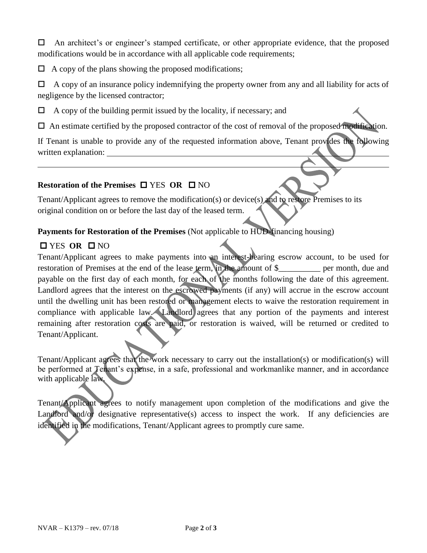$\Box$  An architect's or engineer's stamped certificate, or other appropriate evidence, that the proposed modifications would be in accordance with all applicable code requirements;

 $\Box$  A copy of the plans showing the proposed modifications;

 $\Box$  A copy of an insurance policy indemnifying the property owner from any and all liability for acts of negligence by the licensed contractor;

 $\Box$  A copy of the building permit issued by the locality, if necessary; and

 $\Box$  An estimate certified by the proposed contractor of the cost of removal of the proposed modification.

If Tenant is unable to provide any of the requested information above, Tenant provides the following written explanation:

#### **Restoration of the Premises □ YES OR □ NO**

Tenant/Applicant agrees to remove the modification(s) or device(s) and to restore Premises to its original condition on or before the last day of the leased term.

#### **Payments for Restoration of the Premises** (Not applicable to HUD-financing housing)

## **O** YES OR ONO

Tenant/Applicant agrees to make payments into an interest-bearing escrow account, to be used for restoration of Premises at the end of the lease term, in the amount of \$\_\_\_\_\_\_\_\_\_\_ per month, due and payable on the first day of each month, for each of the months following the date of this agreement. Landlord agrees that the interest on the escrowed payments (if any) will accrue in the escrow account until the dwelling unit has been restored or management elects to waive the restoration requirement in compliance with applicable law. Landlord agrees that any portion of the payments and interest remaining after restoration costs are paid, or restoration is waived, will be returned or credited to Tenant/Applicant.

Tenant/Applicant agrees that the work necessary to carry out the installation(s) or modification(s) will be performed at Tenant's expense, in a safe, professional and workmanlike manner, and in accordance with applicable law.

Tenant/Applicant agrees to notify management upon completion of the modifications and give the Landford and/or designative representative(s) access to inspect the work. If any deficiencies are identified in the modifications, Tenant/Applicant agrees to promptly cure same.